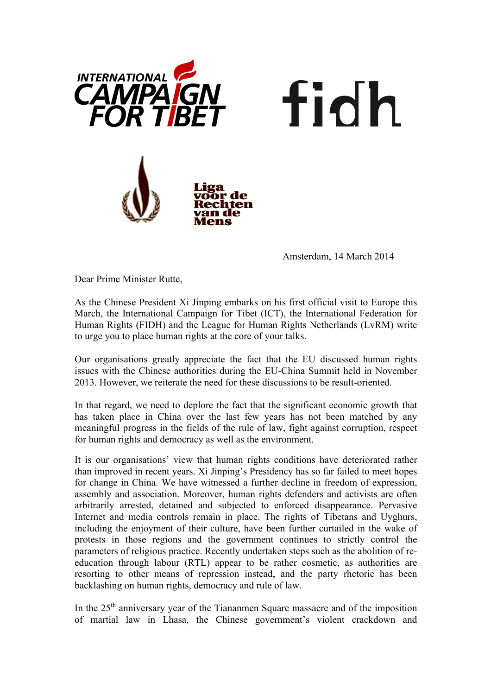

Amsterdam, 14 March 2014

fidh

Dear Prime Minister Rutte,

As the Chinese President Xi Jinping embarks on his first official visit to Europe this March, the International Campaign for Tibet (ICT), the International Federation for Human Rights (FIDH) and the League for Human Rights Netherlands (LvRM) write to urge you to place human rights at the core of your talks.

Our organisations greatly appreciate the fact that the EU discussed human rights issues with the Chinese authorities during the EU-China Summit held in November 2013. However, we reiterate the need for these discussions to be result-oriented.

In that regard, we need to deplore the fact that the significant economic growth that has taken place in China over the last few years has not been matched by any meaningful progress in the fields of the rule of law, fight against corruption, respect for human rights and democracy as well as the environment.

It is our organisations' view that human rights conditions have deteriorated rather than improved in recent years. Xi Jinping's Presidency has so far failed to meet hopes for change in China. We have witnessed a further decline in freedom of expression, assembly and association. Moreover, human rights defenders and activists are often arbitrarily arrested, detained and subjected to enforced disappearance. Pervasive Internet and media controls remain in place. The rights of Tibetans and Uyghurs, including the enjoyment of their culture, have been further curtailed in the wake of protests in those regions and the government continues to strictly control the parameters of religious practice. Recently undertaken steps such as the abolition of reeducation through labour (RTL) appear to be rather cosmetic, as authorities are resorting to other means of repression instead, and the party rhetoric has been backlashing on human rights, democracy and rule of law.

In the  $25<sup>th</sup>$  anniversary year of the Tiananmen Square massacre and of the imposition of martial law in Lhasa, the Chinese government's violent crackdown and